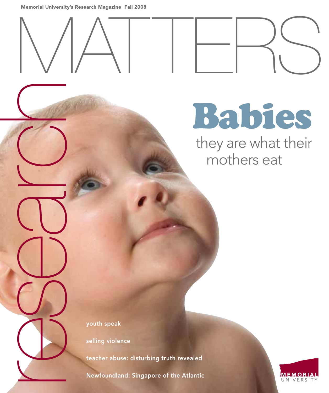



they are what their mothers eat

**selling violence**

**CONSTRANT (DESCRIPTION OF SPEAK**<br>CONSTRANT Speak<br>Restrict abus **teacher abuse: disturbing truth revealed Newfoundland: Singapore of the Atlantic**

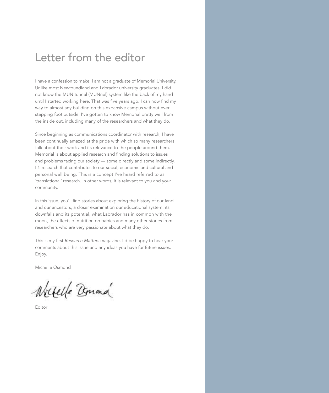### Letter from the editor

I have a confession to make: I am not a graduate of Memorial University. Unlike most Newfoundland and Labrador university graduates, I did not know the MUN tunnel (MUNnel) system like the back of my hand until I started working here. That was five years ago. I can now find my way to almost any building on this expansive campus without ever stepping foot outside. I've gotten to know Memorial pretty well from the inside out, including many of the researchers and what they do.

Since beginning as communications coordinator with research, I have been continually amazed at the pride with which so many researchers talk about their work and its relevance to the people around them. Memorial is about applied research and finding solutions to issues and problems facing our society — some directly and some indirectly. It's research that contributes to our social, economic and cultural and personal well being. This is a concept I've heard referred to as 'translational' research. In other words, it is relevant to you and your community.

In this issue, you'll find stories about exploring the history of our land and our ancestors, a closer examination our educational system: its downfalls and its potential, what Labrador has in common with the moon, the effects of nutrition on babies and many other stories from researchers who are very passionate about what they do.

This is my first *Research Matters* magazine. I'd be happy to hear your comments about this issue and any ideas you have for future issues. Enjoy.

Michelle Osmond

Wickelle Denand

Editor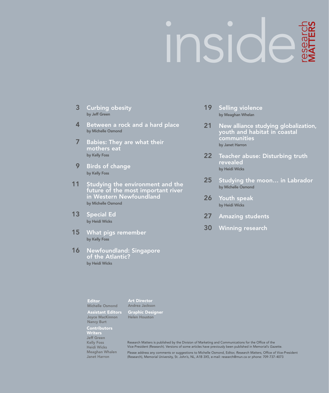## insides **MATTERS**

- **3 Curbing obesity by Jeff Green**
- **4 Between a rock and a hard place by Michelle Osmond**
- **7 Babies: They are what their mothers eat by Kelly Foss**
- **9 Birds of change by Kelly Foss**
- **11 Studying the environment and the future of the most important river in Western Newfoundland by Michelle Osmond**
- **13 Special Ed by Heidi Wicks**
- **15 What pigs remember by Kelly Foss**
- **16 Newfoundland: Singapore of the Atlantic? by Heidi Wicks**
- **19 Selling violence by Meaghan Whelan**
- **21 New alliance studying globalization, youth and habitat in coastal communities by Janet Harron**
- **22 Teacher abuse: Disturbing truth revealed by Heidi Wicks**
- **25 Studying the moon… in Labrador by Michelle Osmond**
- **26 Youth speak by Heidi Wicks**
- **27 Amazing students**
- **30 Winning research**

| <b>Editor</b>                                                    | <b>Art Director</b>                                                                                               |
|------------------------------------------------------------------|-------------------------------------------------------------------------------------------------------------------|
| Michelle Osmond                                                  | Andrea Jackson                                                                                                    |
| <b>Assistant Editors</b><br>Joyce MacKinnon<br><b>Nancy Burt</b> | <b>Graphic Designer</b><br><b>Helen Houston</b>                                                                   |
| <b>Contributors</b><br><b>Writers</b><br><b>Jeff Green</b>       |                                                                                                                   |
| <b>Kelly Foss</b>                                                | Research Matters is published by the Division of Marketing and Communications for the Office of the               |
| <b>Heidi Wicks</b>                                               | Vice-President (Research). Versions of some articles have previously been published in Memorial's Gazette.        |
| Meaghan Whalen                                                   | Please address any comments or suggestions to Michelle Osmond, Editor, Research Matters, Office of Vice-President |
| <b>Janet Harron</b>                                              | (Research), Memorial University, St. John's, NL, A1B 3X5, e-mail: research@mun.ca or phone: 709-737-4073          |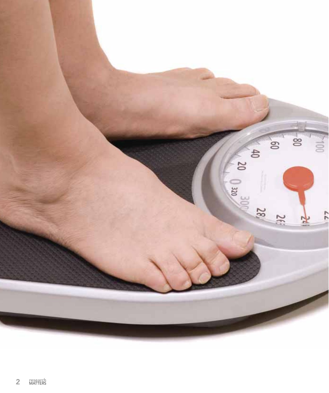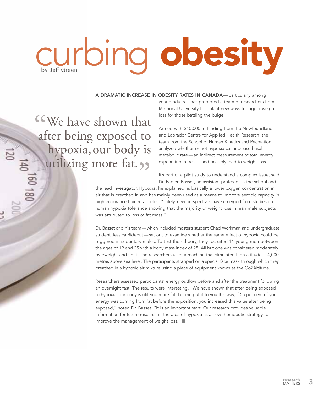# curbing by Jeff Green **obesity**

**A DRAMATIC INCREASE IN OBESITY RATES IN CANADA**— particularly among

"We have shown that after being exposed to hypoxia,our body is utilizing more fat. 33

≊

young adults — has prompted a team of researchers from Memorial University to look at new ways to trigger weight loss for those battling the bulge.

Armed with \$10,000 in funding from the Newfoundland and Labrador Centre for Applied Health Research, the team from the School of Human Kinetics and Recreation analyzed whether or not hypoxia can increase basal metabolic rate — an indirect measurement of total energy expenditure at rest— and possibly lead to weight loss.

It's part of a pilot study to understand a complex issue, said Dr. Fabien Basset, an assistant professor in the school and

the lead investigator. Hypoxia, he explained, is basically a lower oxygen concentration in air that is breathed in and has mainly been used as a means to improve aerobic capacity in high endurance trained athletes. "Lately, new perspectives have emerged from studies on human hypoxia tolerance showing that the majority of weight loss in lean male subjects was attributed to loss of fat mass."

Dr. Basset and his team— which included master's student Chad Workman and undergraduate student Jessica Rideout— set out to examine whether the same effect of hypoxia could be triggered in sedentary males. To test their theory, they recruited 11 young men between the ages of 19 and 25 with a body mass index of 25. All but one was considered moderately overweight and unfit. The researchers used a machine that simulated high altitude — 4,000 metres above sea level. The participants strapped on a special face mask through which they breathed in a hypoxic air mixture using a piece of equipment known as the Go2Altitude.

Researchers assessed participants' energy outflow before and after the treatment following an overnight fast. The results were interesting. "We have shown that after being exposed to hypoxia, our body is utilizing more fat. Let me put it to you this way, if 55 per cent of your energy was coming from fat before the exposition, you increased this value after being exposed," noted Dr. Basset. "It is an important start. Our research provides valuable information for future research in the area of hypoxia as a new therapeutic strategy to improve the management of weight loss." ■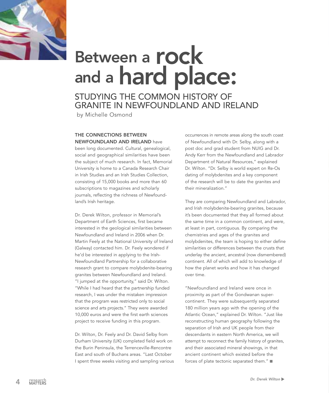

## **Between a rock and a hard place:**

### STUDYING THE COMMON HISTORY OF GRANITE IN NEWFOUNDLAND AND IRELAND

by Michelle Osmond

### **THE CONNECTIONS BETWEEN NEWFOUNDLAND AND IRELAND have**

been long documented. Cultural, genealogical, social and geographical similarities have been the subject of much research. In fact, Memorial University is home to a Canada Research Chair in Irish Studies and an Irish Studies Collection, consisting of 15,000 books and more than 60 subscriptions to magazines and scholarly journals, reflecting the richness of Newfoundland's Irish heritage.

Dr. Derek Wilton, professor in Memorial's Department of Earth Sciences, first became interested in the geological similarities between Newfoundland and Ireland in 2006 when Dr. Martin Feely at the National University of Ireland (Galway) contacted him. Dr. Feely wondered if he'd be interested in applying to the Irish-Newfoundland Partnership for a collaborative research grant to compare molybdenite-bearing granites between Newfoundland and Ireland. "I jumped at the opportunity," said Dr. Wilton. "While I had heard that the partnership funded research, I was under the mistaken impression that the program was restricted only to social science and arts projects." They were awarded 10,000 euros and were the first earth sciences project to receive funding in this program.

Dr. Wilton, Dr. Feely and Dr. David Selby from Durham University (UK) completed field work on the Burin Peninsula, the Terrenceville-Rencontre East and south of Buchans areas. "Last October I spent three weeks visiting and sampling various occurrences in remote areas along the south coast of Newfoundland with Dr. Selby, along with a post doc and grad student from NUIG and Dr. Andy Kerr from the Newfoundland and Labrador Department of Natural Resources," explained Dr. Wilton. "Dr. Selby is world expert on Re-Os dating of molybdenites and a key component of the research will be to date the granites and their mineralization."

They are comparing Newfoundland and Labrador, and Irish molybdenite-bearing granites, because it's been documented that they all formed about the same time in a common continent, and were, at least in part, contiguous. By comparing the chemistries and ages of the granites and molybdenites, the team is hoping to either define similarities or differences between the crusts that underlay the ancient, ancestral (now dismembered) continent. All of which will add to knowledge of how the planet works and how it has changed over time.

"Newfoundland and Ireland were once in proximity as part of the Gondwanan supercontinent. They were subsequently separated 180 million years ago with the opening of the Atlantic Ocean," explained Dr. Wilton. "Just like reconstructing human geography following the separation of Irish and UK people from their descendants in eastern North America, we will attempt to reconnect the family history of granites, and their associated mineral showings, in that ancient continent which existed before the forces of plate tectonic separated them." ■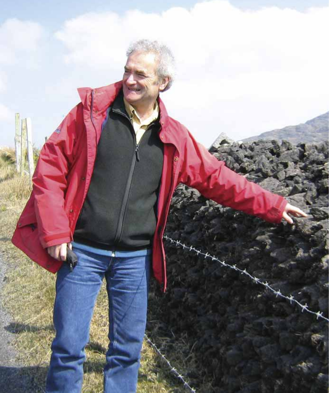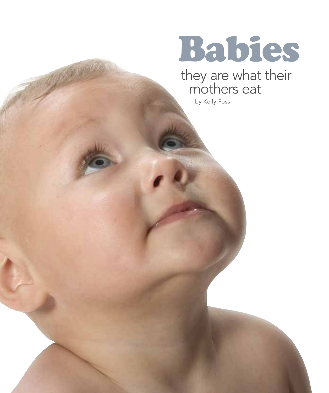

they are what their mothers eat

by Kelly Foss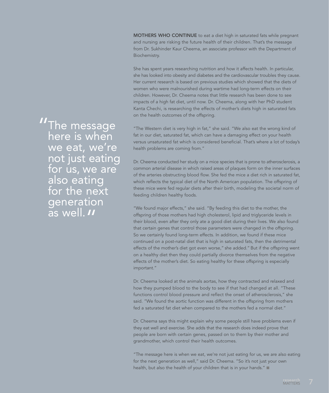**MOTHERS WHO CONTINUE** to eat a diet high in saturated fats while pregnant and nursing are risking the future health of their children. That's the message from Dr. Sukhinder Kaur Cheema, an associate professor with the Department of Biochemistry.

She has spent years researching nutrition and how it affects health. In particular, she has looked into obesity and diabetes and the cardiovascular troubles they cause. Her current research is based on previous studies which showed that the diets of women who were malnourished during wartime had long-term effects on their children. However, Dr. Cheema notes that little research has been done to see impacts of a high fat diet, until now. Dr. Cheema, along with her PhD student Kanta Chechi, is researching the effects of mother's diets high in saturated fats on the health outcomes of the offspring.

"The Western diet is very high in fat," she said. "We also eat the wrong kind of fat in our diet, saturated fat, which can have a damaging effect on your health versus unsaturated fat which is considered beneficial. That's where a lot of today's health problems are coming from."

Dr. Cheema conducted her study on a mice species that is prone to atherosclerosis, a common arterial disease in which raised areas of plaques form on the inner surfaces of the arteries obstructing blood flow. She fed the mice a diet rich in saturated fat, which reflects the typical diet of the North American population. The offspring of these mice were fed regular diets after their birth, modeling the societal norm of feeding children healthy foods.

"We found major effects," she said. "By feeding this diet to the mother, the offspring of those mothers had high cholesterol, lipid and triglyceride levels in their blood, even after they only ate a good diet during their lives. We also found that certain genes that control those parameters were changed in the offspring. So we certainly found long-term effects. In addition, we found if these mice continued on a post-natal diet that is high in saturated fats, then the detrimental effects of the mother's diet got even worse," she added." But if the offspring went on a healthy diet then they could partially divorce themselves from the negative effects of the mother's diet. So eating healthy for these offspring is especially important."

Dr. Cheema looked at the animals aortas, how they contracted and relaxed and how they pumped blood to the body to see if that had changed at all. "These functions control blood pressure and reflect the onset of atherosclerosis," she said. "We found the aortic function was different in the offspring from mothers fed a saturated fat diet when compared to the mothers fed a normal diet."

Dr. Cheema says this might explain why some people still have problems even if they eat well and exercise. She adds that the research does indeed prove that people are born with certain genes, passed on to them by their mother and grandmother, which control their health outcomes.

"The message here is when we eat, we're not just eating for us, we are also eating for the next generation as well," said Dr. Cheema. "So it's not just your own health, but also the health of your children that is in your hands." ■

**"The message** here is when we eat, we're not just eating for us, we are also eating for the next generation as well.  $\overline{u}$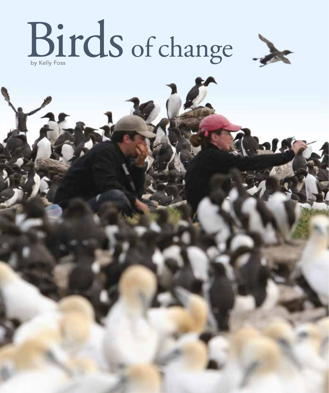## Birds **by Kelly Foss**



**Chara**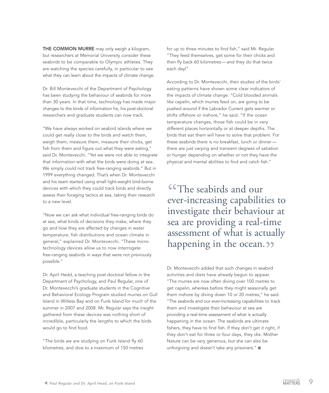**THE COMMON MURRE** may only weigh a kilogram, but researchers at Memorial University consider these seabirds to be comparable to Olympic athletes. They are watching the species carefully, in particular to see what they can learn about the impacts of climate change.

Dr. Bill Montevecchi of the Department of Psychology has been studying the behaviour of seabirds for more than 30 years. In that time, technology has made major changes to the kinds of information he, his post-doctoral researchers and graduate students can now track.

"We have always worked on seabird islands where we could get really close to the birds and watch them, weigh them, measure them, measure their chicks, get fish from them and figure out what they were eating," said Dr. Montevecchi. "Yet we were not able to integrate that information with what the birds were doing at sea. We simply could not track free-ranging seabirds." But in 1999 everything changed. That's when Dr. Montevecchi and his team started using small light-weight bird-borne devices with which they could track birds and directly assess their foraging tactics at sea, taking their research to a new level.

"Now we can ask what individual free-ranging birds do at sea, what kinds of decisions they make, where they go and how they are affected by changes in water temperature, fish distributions and ocean climate in general," explained Dr. Montevecchi. "These microtechnology devices allow us to now interrogate free-ranging seabirds in ways that were not previously possible."

Dr. April Hedd, a teaching post doctoral fellow in the Department of Psychology, and Paul Regular, one of Dr. Montevecchi's graduate students in the Cognitive and Behavioral Ecology Program studied murres on Gull Island in Witless Bay and on Funk Island for much of the summer in 2007 and 2008. Mr. Regular says the insight gathered from these devices was nothing short of incredible, particularly the lengths to which the birds would go to find food.

"The birds we are studying on Funk Island fly 60 kilometres, and dive to a maximum of 150 metres for up to three minutes to find fish," said Mr. Regular. "They feed themselves, get some for their chicks and then fly back 60 kilometres— and they do that twice each day!"

According to Dr. Montevecchi, their studies of the birds' eating patterns have shown some clear indicators of the impacts of climate change. "Cold blooded animals like capelin, which murres feed on, are going to be pushed around if the Labrador Current gets warmer or shifts offshore or inshore," he said. "If the ocean temperature changes, those fish could be in very different places horizontally or at deeper depths. The birds that eat them will have to solve that problem. For these seabirds there is no breakfast, lunch or dinner there are just varying and transient degrees of satiation or hunger depending on whether or not they have the physical and mental abilities to find and catch fish."

"The seabirds and our ever-increasing capabilities to investigate their behaviour at sea are providing a real-time assessment of what is actually happening in the ocean. "

Dr. Montevecchi added that such changes in seabird activities and diets have already begun to appear. "The murres are now often diving over 100 metres to get capelin, whereas before they might seasonally get them inshore by diving down 10 or 20 metres," he said. "The seabirds and our ever-increasing capabilities to track them and investigate their behaviour at sea are providing a real-time assessment of what is actually happening in the ocean. The seabirds are ultimate fishers, they have to find fish. If they don't get it right, if they don't eat for three or four days, they die. Mother Nature can be very generous, but she can also be unforgiving and doesn't take any prisoners." ■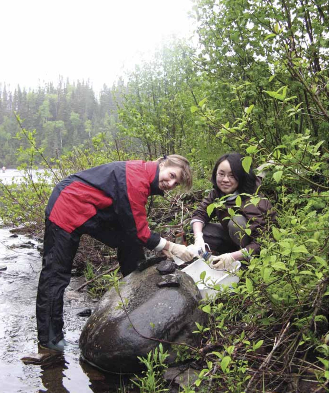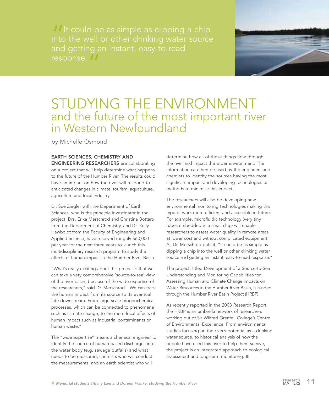$II$  It could be as simple as dipping a chip and getting an instant, easy-to-read response. 77



## STUDYING THE ENVIRONMENT and the future of the most important river in Western Newfoundland

by Michelle Osmond

### **EARTH SCIENCES, CHEMISTRY AND**

**ENGINEERING RESEARCHERS** are collaborating on a project that will help determine what happens to the future of the Humber River. The results could have an impact on how the river will respond to anticipated changes in climate, tourism, aquaculture, agriculture and local industry.

Dr. Sue Ziegler with the Department of Earth Sciences, who is the principle investigator in the project, Drs. Erika Merschrod and Christina Bottaro from the Department of Chemistry, and Dr. Kelly Hawboldt from the Faculty of Engineering and Applied Science, have received roughly \$60,000 per year for the next three years to launch this multidisciplinary research program to study the effects of human impact in the Humber River Basin.

"What's really exciting about this project is that we can take a very comprehensive 'source-to-sea' view of the river basin, because of the wide expertise of the researchers," said Dr. Merschrod. "We can track the human impact from its source to its eventual fate downstream. From large-scale biogeochemical processes, which can be connected to phenomena such as climate change, to the more local effects of human impact such as industrial contaminants or human waste."

The "wide expertise" means a chemical engineer to identify the source of human based discharges into the water body (e.g. sewage outfalls) and what needs to be measured, chemists who will conduct the measurements, and an earth scientist who will

determine how all of these things flow through the river and impact the wider environment. The information can then be used by the engineers and chemists to identify the sources having the most significant impact and developing technologies or methods to minimize this impact.

The researchers will also be developing new environmental monitoring technologies making this type of work more efficient and accessible in future. For example, microfluidic technology (very tiny tubes embedded in a small chip) will enable researchers to assess water quality in remote areas at lower cost and without complicated equipment. As Dr. Merschrod puts it, "it could be as simple as dipping a chip into the well or other drinking water source and getting an instant, easy-to-read response."

The project, titled Development of a Source-to-Sea Understanding and Monitoring Capabilities for Assessing Human and Climate Change Impacts on Water Resources in the Humber River Basin, is funded through the Humber River Basin Project (HRBP).

As recently reported in the 2008 Research Report, the HRBP is an umbrella network of researchers working out of Sir Wilfred Grenfell College's Centre of Environmental Excellence. From environmental studies focusing on the river's potential as a drinking water source, to historical analysis of how the people have used this river to help them survive, the project is an integrated approach to ecological assessment and long-term monitoring. ■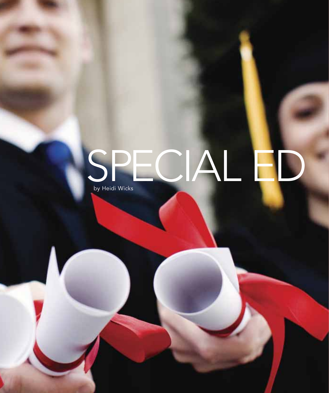## SPECIAL E by Heidi Wicks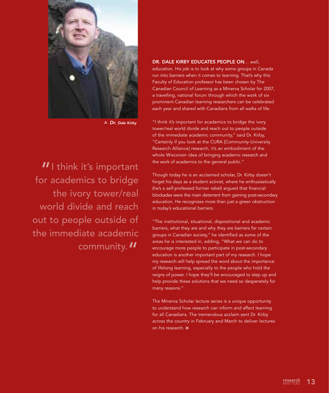

▲ *Dr. Dale Kirby*

 $\prime\prime$  I think it's important for academics to bridge the ivory tower/real world divide and reach out to people outside of the immediate academic community. **II** 

**DR. DALE KIRBY EDUCATES PEOPLE ON**… well, education. His job is to look at why some groups in Canada run into barriers when it comes to learning. That's why this Faculty of Education professor has been chosen by The Canadian Council of Learning as a Minerva Scholar for 2007, a travelling, national forum through which the work of six prominent Canadian learning researchers can be celebrated each year and shared with Canadians from all walks of life.

"I think it's important for academics to bridge the ivory tower/real world divide and reach out to people outside of the immediate academic community," said Dr. Kirby, "Certainly if you look at the CURA [Community-University Research Alliance] research, it's an embodiment of the whole Wisconsin idea of bringing academic research and the work of academics to the general public."

Though today he is an acclaimed scholar, Dr. Kirby doesn't forget his days as a student activist, where he enthusiastically (he's a self-professed former rebel) argued that financial blockades were the main deterrent from gaining post-secondary education. He recognizes more than just a green obstruction in today's educational barriers.

"The institutional, situational, dispositional and academic barriers, what they are and why they are barriers for certain groups in Canadian society," he identified as some of the areas he is interested in, adding, "What we can do to encourage more people to participate in post-secondary education is another important part of my research. I hope my research will help spread the word about the importance of lifelong learning, especially to the people who hold the reigns of power. I hope they'll be encouraged to step up and help provide these solutions that we need so desperately for many reasons."

The Minerva Scholar lecture series is a unique opportunity to understand how research can inform and affect learning for all Canadians. The tremendous acclaim sent Dr. Kirby across the country in February and March to deliver lectures on his research. ■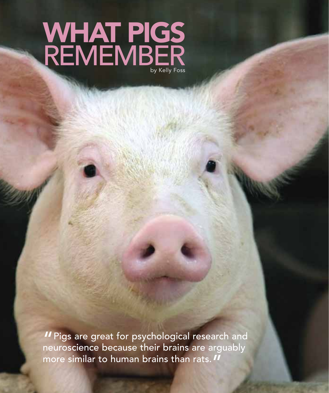## **WHAT PIGS** REMEMBER

II Pigs are great for psychological research and neuroscience because their brains are arguably more similar to human brains than rats.  $''$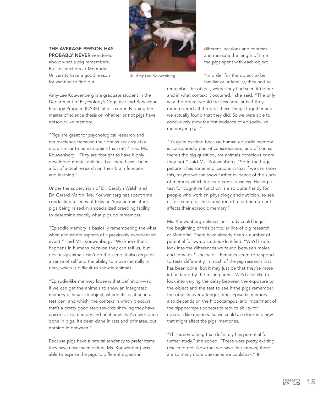

**THE AVERAGE PERSON HAS PROBABLY NEVER** wondered

about what a pig remembers. But researchers at Memorial University have a good reason for wanting to find out.

▲ *Amy-Lee Kouwenberg*

Amy-Lee Kouwenberg is a graduate student in the Department of Psychology's Cognitive and Behaviour Ecology Program (CABE). She is currently doing her master of science thesis on whether or not pigs have episodic-like memory.

"Pigs are great for psychological research and neuroscience because their brains are arguably more similar to human brains than rats," said Ms. Kouwenberg. "They are thought to have highly developed mental abilities, but there hasn't been a lot of actual research on their brain function and learning."

Under the supervision of Dr. Carolyn Walsh and Dr. Gerard Martin, Ms. Kouwenberg has spent time conducting a series of tests on Yucatan miniature pigs being raised in a specialized breeding facility to determine exactly what pigs do remember.

"Episodic memory is basically remembering the what, when and where aspects of a previously experienced event," said Ms. Kouwenberg. "We know that it happens in humans because they can tell us, but obviously animals can't do the same. It also requires a sense of self and the ability to move mentally in time, which is difficult to show in animals.

"Episodic-like memory loosens that definition — so if we can get the animals to show an integrated memory of what: an object; where: its location in a test pen; and which: the context in which it occurs, that's a pretty good step towards showing they have episodic-like memory and until now, that's never been done in pigs. It's been done in rats and primates, but nothing in between."

Because pigs have a natural tendency to prefer items they have never seen before, Ms. Kouwenberg was able to expose the pigs to different objects in

different locations and contexts and measure the length of time the pigs spent with each object.

"In order for the object to be familiar or unfamiliar, they had to

remember the object, where they had seen it before and in what context it occurred," she said. "The only way the object would be less familiar is if they remembered all three of these things together and we actually found that they did. So we were able to conclusively show the first evidence of episodic-like memory in pigs."

"It's quite exciting because human episodic memory is considered a part of consciousness, and of course there's the big question, are animals conscious or are they not," said Ms. Kouwenberg. "So in the huge picture it has some implications in that if we can show this, maybe we can show further evidence of the kinds of memory which indicate consciousness. Having a test for cognitive function is also quite handy for people who work on physiology and nutrition, to see if, for example, the starvation of a certain nutrient affects their episodic memory."

Ms. Kouwenberg believes her study could be just the beginning of this particular line of pig research at Memorial. There have already been a number of potential follow-up studies identified. "We'd like to look into the differences we found between males and females," she said. "Females seem to respond to tests differently in much of the pig research that has been done, but it may just be that they're more intimidated by the testing arena. We'd also like to look into varying the delay between the exposure to the object and the test to see if the pigs remember the objects over a longer time. Episodic memory also depends on the hippocampus, and impairment of the hippocampus appears to reduce ability for episodic-like memory. So we could also look into how that might affect the pigs' memories.

"This is something that definitely has potential for further study," she added. "These were pretty exciting results to get. Now that we have that answer, there are so many more questions we could ask." ■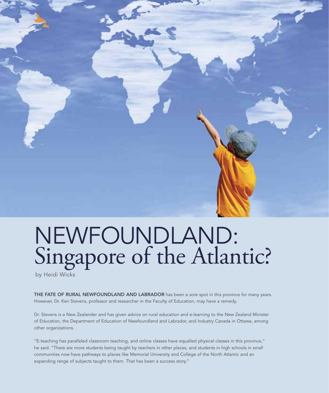

## NEWFOUNDLAND: Singapore of the Atlantic?

by Heidi Wicks

**THE FATE OF RURAL NEWFOUNDLAND AND LABRADOR** has been a sore spot in this province for many years. However, Dr. Ken Stevens, professor and researcher in the Faculty of Education, may have a remedy.

Dr. Stevens is a New Zealander and has given advice on rural education and e-learning to the New Zealand Minister of Education, the Department of Education of Newfoundland and Labrador, and Industry Canada in Ottawa, among other organizations.

"E-teaching has paralleled classroom teaching, and online classes have equalled physical classes in this province," he said. "There are more students being taught by teachers in other places, and students in high schools in small communities now have pathways to places like Memorial University and College of the North Atlantic and an expanding range of subjects taught to them. That has been a success story."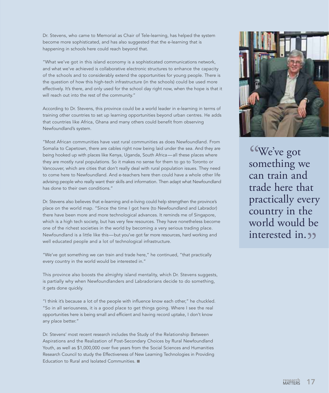Dr. Stevens, who came to Memorial as Chair of Tele-learning, has helped the system become more sophisticated, and has also suggested that the e-learning that is happening in schools here could reach beyond that.

"What we've got in this island economy is a sophisticated communications network, and what we've achieved is collaborative electronic structures to enhance the capacity of the schools and to considerably extend the opportunities for young people. There is the question of how this high-tech infrastructure (in the schools) could be used more effectively. It's there, and only used for the school day right now, when the hope is that it will reach out into the rest of the community."

According to Dr. Stevens, this province could be a world leader in e-learning in terms of training other countries to set up learning opportunities beyond urban centres. He adds that countries like Africa, Ghana and many others could benefit from observing Newfoundland's system.

"Most African communities have vast rural communities as does Newfoundland. From Somalia to Capetown, there are cables right now being laid under the sea. And they are being hooked up with places like Kenya, Uganda, South Africa— all these places where they are mostly rural populations. So it makes no sense for them to go to Toronto or Vancouver, which are cities that don't really deal with rural population issues. They need to come here to Newfoundland. And e-teachers here then could have a whole other life advising people who really want their skills and information. Then adapt what Newfoundland has done to their own conditions."

Dr. Stevens also believes that e-learning and e-living could help strengthen the province's place on the world map. "Since the time I got here (to Newfoundland and Labrador) there have been more and more technological advances. It reminds me of Singapore, which is a high tech society, but has very few resources. They have nonetheless become one of the richest societies in the world by becoming a very serious trading place. Newfoundland is a little like this— but you've got far more resources, hard working and well educated people and a lot of technological infrastructure.

"We've got something we can train and trade here," he continued, "that practically every country in the world would be interested in."

This province also boosts the almighty island mentality, which Dr. Stevens suggests, is partially why when Newfoundlanders and Labradorians decide to do something, it gets done quickly.

"I think it's because a lot of the people with influence know each other," he chuckled. "So in all seriousness, it is a good place to get things going. Where I see the real opportunities here is being small and efficient and having record uptake, I don't know any place better."

Dr. Stevens' most recent research includes the Study of the Relationship Between Aspirations and the Realization of Post-Secondary Choices by Rural Newfoundland Youth, as well as \$1,000,000 over five years from the Social Sciences and Humanities Research Council to study the Effectiveness of New Learning Technologies in Providing Education to Rural and Isolated Communities. ■



**"**We've got something something we can train and trade here that practically every country in the world would be interested in.  $\mathcal{E}$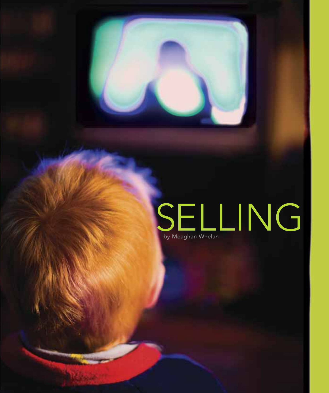## SELLING by Meaghan Whelan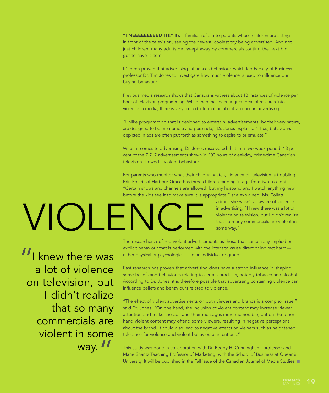**"I NEEEEEEEEED IT!!"** It's a familiar refrain to parents whose children are sitting in front of the television, seeing the newest, coolest toy being advertised. And not just children, many adults get swept away by commercials touting the next big got-to-have-it item.

It's been proven that advertising influences behaviour, which led Faculty of Business professor Dr. Tim Jones to investigate how much violence is used to influence our buying behavour.

Previous media research shows that Canadians witness about 18 instances of violence per hour of television programming. While there has been a great deal of research into violence in media, there is very limited information about violence in advertising.

"Unlike programming that is designed to entertain, advertisements, by their very nature, are designed to be memorable and persuade," Dr. Jones explains. "Thus, behaviours depicted in ads are often put forth as something to aspire to or emulate."

When it comes to advertising, Dr. Jones discovered that in a two-week period, 13 per cent of the 7,717 advertisements shown in 200 hours of weekday, prime-time Canadian television showed a violent behaviour.

For parents who monitor what their children watch, violence on television is troubling. Erin Follett of Harbour Grace has three children ranging in age from two to eight. "Certain shows and channels are allowed, but my husband and I watch anything new before the kids see it to make sure it is appropriate," she explained. Ms. Follett

VIOLENCE

admits she wasn't as aware of violence in advertising. "I knew there was a lot of violence on television, but I didn't realize that so many commercials are violent in some way."

II knew there was a lot of violence on television, but I didn't realize that so many commercials are violent in some way. *II* 

The researchers defined violent advertisements as those that contain any implied or explicit behaviour that is performed with the intent to cause direct or indirect harm either physical or psychological— to an individual or group.

Past research has proven that advertising does have a strong influence in shaping some beliefs and behaviours relating to certain products, notably tobacco and alcohol. According to Dr. Jones, it is therefore possible that advertising containing violence can influence beliefs and behaviours related to violence.

"The effect of violent advertisements on both viewers and brands is a complex issue," said Dr. Jones. "On one hand, the inclusion of violent content may increase viewer attention and make the ads and their messages more memorable, but on the other hand violent content may offend some viewers, resulting in negative perceptions about the brand. It could also lead to negative effects on viewers such as heightened tolerance for violence and violent behavioural intentions."

This study was done in collaboration with Dr. Peggy H. Cunningham, professor and Marie Shantz Teaching Professor of Marketing, with the School of Business at Queen's University. It will be published in the Fall issue of the Canadian Journal of Media Studies. ■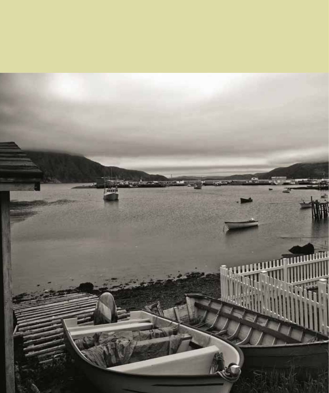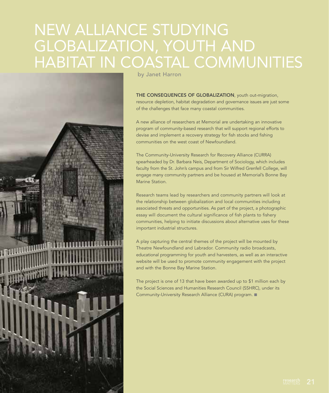## NEW ALLIANCE STUDYING GLOBALIZATION, YOUTH AND HABITAT IN COASTAL COMMUNITIES



by Janet Harron

**THE CONSEQUENCES OF GLOBALIZATION**, youth out-migration, resource depletion, habitat degradation and governance issues are just some of the challenges that face many coastal communities.

A new alliance of researchers at Memorial are undertaking an innovative program of community-based research that will support regional efforts to devise and implement a recovery strategy for fish stocks and fishing communities on the west coast of Newfoundland.

The Community-University Research for Recovery Alliance (CURRA) spearheaded by Dr. Barbara Neis, Department of Sociology, which includes faculty from the St. John's campus and from Sir Wilfred Grenfell College, will engage many community partners and be housed at Memorial's Bonne Bay Marine Station.

Research teams lead by researchers and community partners will look at the relationship between globalization and local communities including associated threats and opportunities. As part of the project, a photographic essay will document the cultural significance of fish plants to fishery communities, helping to initiate discussions about alternative uses for these important industrial structures.

A play capturing the central themes of the project will be mounted by Theatre Newfoundland and Labrador. Community radio broadcasts, educational programming for youth and harvesters, as well as an interactive website will be used to promote community engagement with the project and with the Bonne Bay Marine Station.

The project is one of 13 that have been awarded up to \$1 million each by the Social Sciences and Humanities Research Council (SSHRC), under its Community-University Research Alliance (CURA) program. ■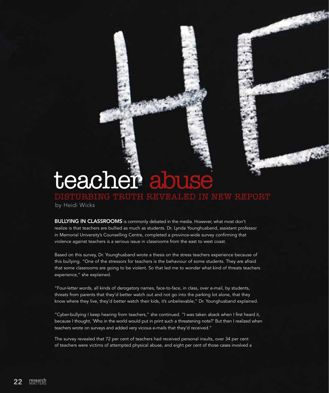## teacher abuse

DISTURBING TRUTH REVEALED IN NEW REPORT by Heidi Wicks

**BULLYING IN CLASSROOMS** is commonly debated in the media. However, what most don't realize is that teachers are bullied as much as students. Dr. Lynda Younghusband, assistant professor in Memorial University's Counselling Centre, completed a province-wide survey confirming that violence against teachers is a serious issue in classrooms from the east to west coast.

Based on this survey, Dr. Younghusband wrote a thesis on the stress teachers experience because of this bullying. "One of the stressors for teachers is the behaviour of some students. They are afraid that some classrooms are going to be violent. So that led me to wonder what kind of threats teachers experience," she explained.

"Four-letter words, all kinds of derogatory names, face-to-face, in class, over e-mail, by students, threats from parents that they'd better watch out and not go into the parking lot alone, that they know where they live, they'd better watch their kids, it's unbelievable," Dr. Younghusband explained.

"Cyber-bullying I keep hearing from teachers," she continued. "I was taken aback when I first heard it, because I thought, 'Who in the world would put in print such a threatening note?' But then I realized when teachers wrote on surveys and added very vicious e-mails that they'd received."

The survey revealed that 72 per cent of teachers had received personal insults, over 34 per cent of teachers were victims of attempted physical abuse, and eight per cent of those cases involved a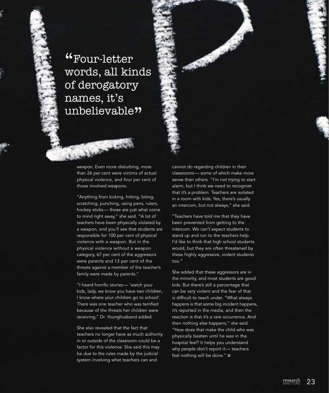"Four-letter words, all kinds of derogatory names, it's unbelievable"

ASUPLATER

weapon. Even more disturbing, more than 26 per cent were victims of actual physical violence, and four per cent of those involved weapons.

"Anything from kicking, hitting, biting, scratching, punching, using pens, rulers, hockey sticks— those are just what come to mind right away," she said. "A lot of teachers have been physically violated by a weapon, and you'll see that students are responsible for 100 per cent of physical violence with a weapon. But in the physical violence without a weapon category, 67 per cent of the aggressors were parents and 13 per cent of the threats against a member of the teacher's family were made by parents."

"I heard horrific stories— 'watch your kids, lady, we know you have two children, I know where your children go to school'. There was one teacher who was terrified because of the threats her children were receiving," Dr. Younghusband added.

She also revealed that the fact that teachers no longer have as much authority in or outside of the classroom could be a factor for this violence. She said this may be due to the rules made by the judicial system involving what teachers can and

cannot do regarding children in their classrooms — some of which make more sense than others. "I'm not trying to start alarm, but I think we need to recognize that it's a problem. Teachers are isolated in a room with kids. Yes, there's usually an intercom, but not always," she said.

"Teachers have told me that they have been prevented from getting to the intercom. We can't expect students to stand up and run to the teachers help. I'd like to think that high school students would, but they are often threatened by these highly aggressive, violent students too."

She added that these aggressors are in the minority, and most students are good kids. But there's still a percentage that can be very violent and the fear of that is difficult to teach under. "What always happens is that some big incident happens, it's reported in the media, and then the reaction is that it's a rare occurrence. And then nothing else happens," she said. "How does that make the child who was physically beaten until he was in the hospital feel? It helps you understand why people don't report it— teachers feel nothing will be done." ■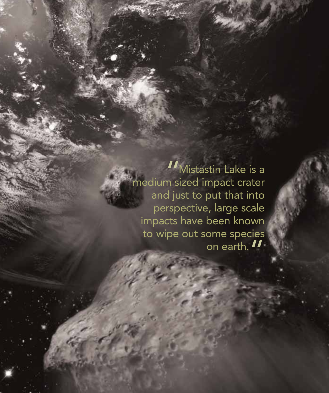$II$ Mistastin Lake is a medium sized impact crater and just to put that into perspective, large scale impacts have been known to wipe out some species on earth. II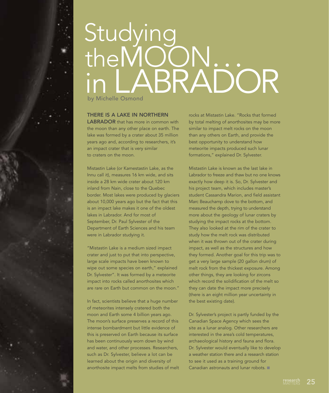## theMOON… Studying in by Michelle Osmond LABRADOR

### **THERE IS A LAKE IN NORTHERN**

**LABRADOR** that has more in common with the moon than any other place on earth. The lake was formed by a crater about 35 million years ago and, according to researchers, it's an impact crater that is very similar to craters on the moon.

Mistastin Lake (or Kamestastin Lake, as the Innu call it), measures 16 km wide, and sits inside a 28 km wide crater about 120 km inland from Nain, close to the Quebec border. Most lakes were produced by glaciers about 10,000 years ago but the fact that this is an impact lake makes it one of the oldest lakes in Labrador. And for most of September, Dr. Paul Sylvester of the Department of Earth Sciences and his team were in Labrador studying it.

"Mistastin Lake is a medium sized impact crater and just to put that into perspective, large scale impacts have been known to wipe out some species on earth," explained Dr. Sylvester". It was formed by a meteorite impact into rocks called anorthosites which are rare on Earth but common on the moon."

In fact, scientists believe that a huge number of meteorites intensely cratered both the moon and Earth some 4 billion years ago. The moon's surface preserves a record of this intense bombardment but little evidence of this is preserved on Earth because its surface has been continuously worn down by wind and water, and other processes. Researchers, such as Dr. Sylvester, believe a lot can be learned about the origin and diversity of anorthosite impact melts from studies of melt rocks at Mistastin Lake. "Rocks that formed by total melting of anorthosites may be more similar to impact melt rocks on the moon than any others on Earth, and provide the best opportunity to understand how meteorite impacts produced such lunar formations," explained Dr. Sylvester.

Mistastin Lake is known as the last lake in Labrador to freeze and thaw but no one knows exactly how deep it is. So, Dr. Sylvester and his project team, which includes master's student Cassandra Marion, and field assistant Marc Beauchamp dove to the bottom, and measured the depth, trying to understand more about the geology of lunar craters by studying the impact rocks at the bottom. They also looked at the rim of the crater to study how the melt rock was distributed when it was thrown out of the crater during impact, as well as the structures and how they formed. Another goal for this trip was to get a very large sample (20 gallon drum) of melt rock from the thickest exposure. Among other things, they are looking for zircons which record the solidification of the melt so they can date the impact more precisely (there is an eight million year uncertainty in the best existing date).

Dr. Sylvester's project is partly funded by the Canadian Space Agency which sees the site as a lunar analog. Other researchers are interested in the area's cold temperatures, archaeological history and fauna and flora. Dr. Sylvester would eventually like to develop a weather station there and a research station to see it used as a training ground for Canadian astronauts and lunar robots. ■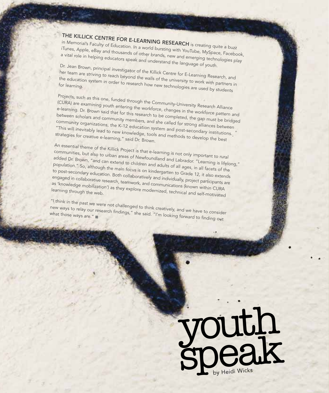**THE KILLICK CENTRE FOR E-LEARNING RESEARCH** is creating quite a buzz in Memorial's Faculty of Education. In a world bursting with YouTube, MySpace, Facebook, iTunes, Apple, eBay and thousands of other brands, new and emerging technologies play a vital role in helping educators speak and understand the language of youth.

Dr. Jean Brown, principal investigator of the Killick Centre for E-Learning Research, and her team are striving to reach beyond the walls of the university to work with partners in<br>the education system in order to research how new technologies are used by studies the education system in order to research how new technologies are used by students<br>for learning.

Projects, such as this one, funded through the Community-University Research Alliance (CURA) are examining youth entering the workforce, changes in the workforce pattern and e-learning. Dr. Brown said that for this research to be completed, the gap must be bridged between scholars and community members, and she called for strong alliances between community organizations, the K-12 education system and post-secondary institutions.<br>"This will inevitably lead to new knowledge, tools and methods to develop the best<br>strategies for creative e-learning." said Dr. Brown "This will inevitably lead to new knowledge, tools and methods to develop the best strategies for creative e-learning," said Dr. Brown.

An essential theme of the Killick Project is that e-learning is not only important to rural communities, but also to urban areas of Newfoundland and Labrador. "Learning is lifelong," added Dr. Brown, "and can extend to children and adults of all ages, in all facets of the<br>population." So, although the main focus is on kindergartarian ages, in all facets of the to post-secondary education. Both collaboratively and individually project also extends<br>engaged in collaborative was also in collaboratively and individually project as extends to post-secondary education. Both collaboratively and individually, project participants are engaged in collaborative research, teamwork, and communications (known within CURA as 'knowledge mobilization') as they explore modernized, technical and self-motivated learning through the web.

"I think in the past we were not challenged to think creatively, and we have to consider<br>new ways to relay our research findings," she said. "I'm looking forward to finding out new ways to relay our research findings," she said. "I'm looking forward to finding out what those ways are." ■

## youth speak by Heidi Wicks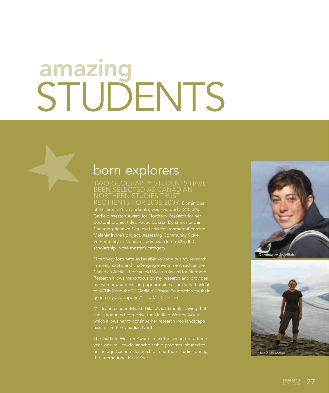## **amazing** STUDENTS

## born explorers

BEEN SELECTED AS CANADIAN NORTHERN STUDIES TRUST RECIPIENTS FOR 2008-2009. Dominique

St. Hilaire, a PhD candidate, was awarded a \$40,000 Garfield Weston Award for Northern Research for her doctoral project titled Arctic Coastal Dynamics under Changing Relative Sea-level and Environmental Forcing. Melanie Irvine's project, Assessing Community Scale Vulnerability in Nunavut, was awarded a \$15,000 scholarship in the master's category.

"I felt very fortunate to be able to carry out my research in a very exotic and challenging environment such as the Canadian Arctic. The Garfield Weston Award for Northern Research allows me to focus on my research and provides me with new and exciting opportunities. I am very thankful to ACUNS and the W. Garfield Weston Foundation for their generosity and support," said Ms. St. Hilaire.

Ms. Irvine echoed Ms. St. Hilaire's sentiments, saying that she is honoured to receive the Garfield Weston Award which allows her to continue her research into landscape hazards in the Canadian North.

The Garfield Weston Awards mark the second of a threeyear, one-million-dollar scholarship program initiated to encourage Canada's leadership in northern studies during the International Polar Year.



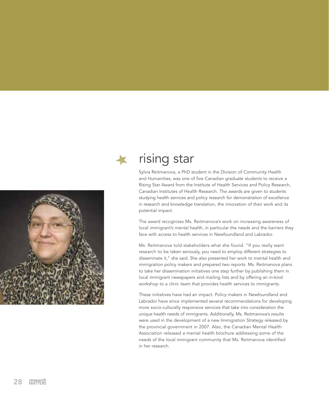

## rising star

Sylvia Reitmanova, a PhD student in the Division of Community Health and Humanities, was one of five Canadian graduate students to receive a Rising Star Award from the Institute of Health Services and Policy Research, Canadian Institutes of Health Research. The awards are given to students studying health services and policy research for demonstration of excellence in research and knowledge translation, the innovation of their work and its potential impact.

The award recognizes Ms. Reitmanova's work on increasing awareness of local immigrant's mental health, in particular the needs and the barriers they face with access to health services in Newfoundland and Labrador.

Ms. Reitmanova told stakeholders what she found. "If you really want research to be taken seriously, you need to employ different strategies to disseminate it," she said. She also presented her work to mental health and immigration policy makers and prepared two reports. Ms. Reitmanova plans to take her dissemination initiatives one step further by publishing them in local immigrant newspapers and mailing lists and by offering an in-kind workshop to a clinic team that provides health services to immigrants.

These initiatives have had an impact. Policy makers in Newfoundland and Labrador have since implemented several recommendations for developing more socio-culturally responsive services that take into consideration the unique health needs of immigrants. Additionally, Ms. Reitmanova's results were used in the development of a new Immigration Strategy released by the provincial government in 2007. Also, the Canadian Mental Health Association released a mental health brochure addressing some of the needs of the local immigrant community that Ms. Reitmanova identified in her research.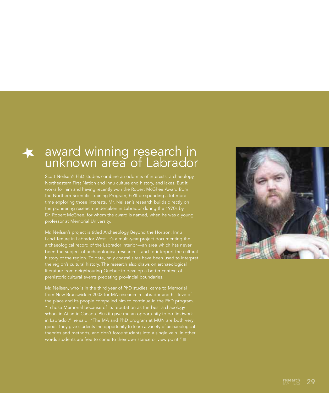### award winning research in unknown area of Labrador

Scott Neilsen's PhD studies combine an odd mix of interests: archaeology, Northeastern First Nation and Innu culture and history, and lakes. But it works for him and having recently won the Robert McGhee Award from the Northern Scientific Training Program, he'll be spending a lot more time exploring those interests. Mr. Neilsen's research builds directly on the pioneering research undertaken in Labrador during the 1970s by Dr. Robert McGhee, for whom the award is named, when he was a young professor at Memorial University.

Mr. Neilsen's project is titled Archaeology Beyond the Horizon: Innu Land Tenure in Labrador West. It's a multi-year project documenting the archaeological record of the Labrador interior—an area which has never been the subject of archaeological research — and to interpret the cultural history of the region. To date, only coastal sites have been used to interpret the region's cultural history. The research also draws on archaeological literature from neighbouring Quebec to develop a better context of prehistoric cultural events predating provincial boundaries.

Mr. Neilsen, who is in the third year of PhD studies, came to Memorial from New Brunswick in 2003 for MA research in Labrador and his love of the place and its people compelled him to continue in the PhD program. "I chose Memorial because of its reputation as the best archaeology school in Atlantic Canada. Plus it gave me an opportunity to do fieldwork in Labrador," he said. "The MA and PhD program at MUN are both very good. They give students the opportunity to learn a variety of archaeological theories and methods, and don't force students into a single vein. In other words students are free to come to their own stance or view point." ■

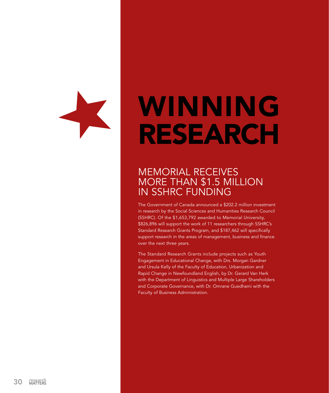

## **WINNING RESEARCH**

### MEMORIAL RECEIVES MORE THAN \$1.5 MILLION IN SSHRC FUNDING

The Government of Canada announced a \$202.2 million investment in research by the Social Sciences and Humanities Research Council (SSHRC). Of the \$1,653,792 awarded to Memorial University, \$826,896 will support the work of 11 researchers through SSHRC's Standard Research Grants Program, and \$187,462 will specifically support research in the areas of management, business and finance over the next three years.

The Standard Research Grants include projects such as Youth Engagement in Educational Change, with Drs. Morgan Gardner and Ursula Kelly of the Faculty of Education, Urbanization and Rapid Change in Newfoundland English, by Dr. Gerard Van Herk with the Department of Linguistics and Multiple Large Shareholders and Corporate Governance, with Dr. Omrane Guedhami with the Faculty of Business Administration.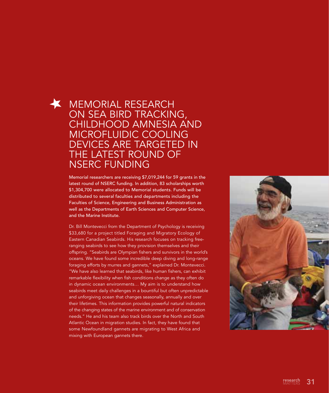### **K** MEMORIAL RESEARCH ON SEA BIRD TRACKING, CHILDHOOD AMNESIA AND MICROFLUIDIC COOLING DEVICES ARE TARGETED IN THE LATEST ROUND OF NSERC FUNDING

Memorial researchers are receiving \$7,019,244 for 59 grants in the latest round of NSERC funding. In addition, 83 scholarships worth \$1,304,700 were allocated to Memorial students. Funds will be distributed to several faculties and departments including the Faculties of Science, Engineering and Business Administration as well as the Departments of Earth Sciences and Computer Science, and the Marine Institute.

Dr. Bill Montevecci from the Department of Psychology is receiving \$33,680 for a project titled Foraging and Migratory Ecology of Eastern Canadian Seabirds. His research focuses on tracking freeranging seabirds to see how they provision themselves and their offspring. "Seabirds are Olympian fishers and survivors in the world's oceans. We have found some incredible deep diving and long-range foraging efforts by murres and gannets," explained Dr. Montevecci. "We have also learned that seabirds, like human fishers, can exhibit remarkable flexibility when fish conditions change as they often do in dynamic ocean environments… My aim is to understand how seabirds meet daily challenges in a bountiful but often unpredictable and unforgiving ocean that changes seasonally, annually and over their lifetimes. This information provides powerful natural indicators of the changing states of the marine environment and of conservation needs." He and his team also track birds over the North and South Atlantic Ocean in migration studies. In fact, they have found that some Newfoundland gannets are migrating to West Africa and mixing with European gannets there.

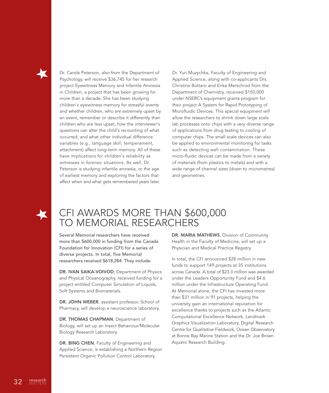

Dr. Carole Peterson, also from the Department of Psychology, will receive \$36,745 for her research project Eyewitness Memory and Infantile Amnesia in Children, a project that has been growing for more than a decade. She has been studying children's eyewitness memory for stressful events and whether children, who are extremely upset by an event, remember or describe it differently than children who are less upset, how the interviewer's questions can alter the child's recounting of what occurred, and what other individual difference variables (e.g., language skill, temperament, attachment) affect long-term memory. All of these have implications for children's reliability as witnesses in forensic situations. As well, Dr. Peterson is studying infantile amnesia, or the age of earliest memory and exploring the factors that affect when and what gets remembered years later.

Dr. Yuri Muzychka, Faculty of Engineering and Applied Science, along with co-applicants Drs. Christina Bottaro and Erika Merschrod from the Department of Chemistry, received \$150,000 under NSERC's equipment grants program for their project A System for Rapid Prototyping of Microfluidic Devices. This special equipment will allow the researchers to shrink down large scale lab processes onto chips with a very diverse range of applications from drug testing to cooling of computer chips. The small scale devices can also be applied to environmental monitoring for tasks such as detecting well contamination. These micro-fluidic devices can be made from a variety of materials (from plastics to metals) and with a wide range of channel sizes (down to micrometres) and geometries.

### CFI AWARDS MORE THAN \$600,000 TO MEMORIAL RESEARCHERS

Several Memorial researchers have received more than \$600,000 in funding from the Canada Foundation for Innovation (CFI) for a series of diverse projects. In total, five Memorial researchers received \$618,284. They include:

**DR. IVAN SAIKA-VOIVOD**, Department of Physics and Physical Oceanography, received funding for a project entitled Computer Simulation of Liquids, Soft Systems and Biomaterials.

**DR. JOHN WEBER**, assistant professor, School of Pharmacy, will develop a neuroscience laboratory.

**DR. THOMAS CHAPMAN**, Department of Biology, will set up an Insect Behaviour/Molecular Biology Research Laboratory.

**DR. BING CHEN**, Faculty of Engineering and Applied Science, is establishing a Northern Region Persistent Organic Pollution Control Laboratory.

**DR. MARIA MATHEWS**, Division of Community Health in the Faculty of Medicine, will set up a Physician and Medical Practice Registry.

In total, the CFI announced \$28 million in new funds to support 149 projects at 35 institutions across Canada. A total of \$23.3 million was awarded under the Leaders Opportunity Fund and \$4.6 million under the Infrastructure Operating Fund. At Memorial alone, the CFI has invested more than \$31 million in 91 projects, helping the university gain an international reputation for excellence thanks to projects such as the Atlantic Computational Excellence Network, Landmark Graphics Visualization Laboratory, Digital Research Centre for Qualitative Fieldwork, Ocean Observatory at Bonne Bay Marine Station and the Dr. Joe Brown Aquatic Research Building.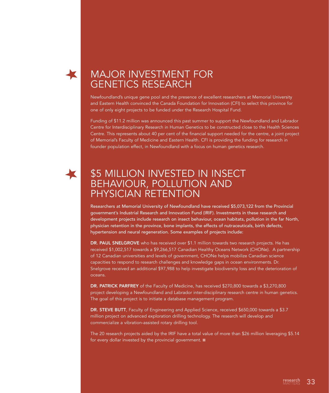

### MAJOR INVESTMENT FOR GENETICS RESEARCH

Newfoundland's unique gene pool and the presence of excellent researchers at Memorial University and Eastern Health convinced the Canada Foundation for Innovation (CFI) to select this province for one of only eight projects to be funded under the Research Hospital Fund.

Funding of \$11.2 million was announced this past summer to support the Newfoundland and Labrador Centre for Interdisciplinary Research in Human Genetics to be constructed close to the Health Sciences Centre. This represents about 40 per cent of the financial support needed for the centre, a joint project of Memorial's Faculty of Medicine and Eastern Health. CFI is providing the funding for research in founder population effect, in Newfoundland with a focus on human genetics research.



### \$5 MILLION INVESTED IN INSECT BEHAVIOUR, POLLUTION AND PHYSICIAN RETENTION

Researchers at Memorial University of Newfoundland have received \$5,073,122 from the Provincial government's Industrial Research and Innovation Fund (IRIF). Investments in these research and development projects include research on insect behaviour, ocean habitats, pollution in the far North, physician retention in the province, bone implants, the effects of nutraceuticals, birth defects, hypertension and neural regeneration. Some examples of projects include:

**DR. PAUL SNELGROVE** who has received over \$1.1 million towards two research projects. He has received \$1,002,517 towards a \$9,266,517 Canadian Healthy Oceans Network (CHONe). A partnership of 12 Canadian universities and levels of government, CHONe helps mobilize Canadian science capacities to respond to research challenges and knowledge gaps in ocean environments. Dr. Snelgrove received an additional \$97,988 to help investigate biodiversity loss and the deterioration of oceans.

**DR. PATRICK PARFREY** of the Faculty of Medicine, has received \$270,800 towards a \$3,270,800 project developing a Newfoundland and Labrador inter-disciplinary research centre in human genetics. The goal of this project is to initiate a database management program.

**DR. STEVE BUTT**, Faculty of Engineering and Applied Science, received \$650,000 towards a \$3.7 million project on advanced exploration drilling technology. The research will develop and commercialize a vibration-assisted rotary drilling tool.

The 20 research projects aided by the IRIF have a total value of more than \$26 million leveraging \$5.14 for every dollar invested by the provincial government. ■